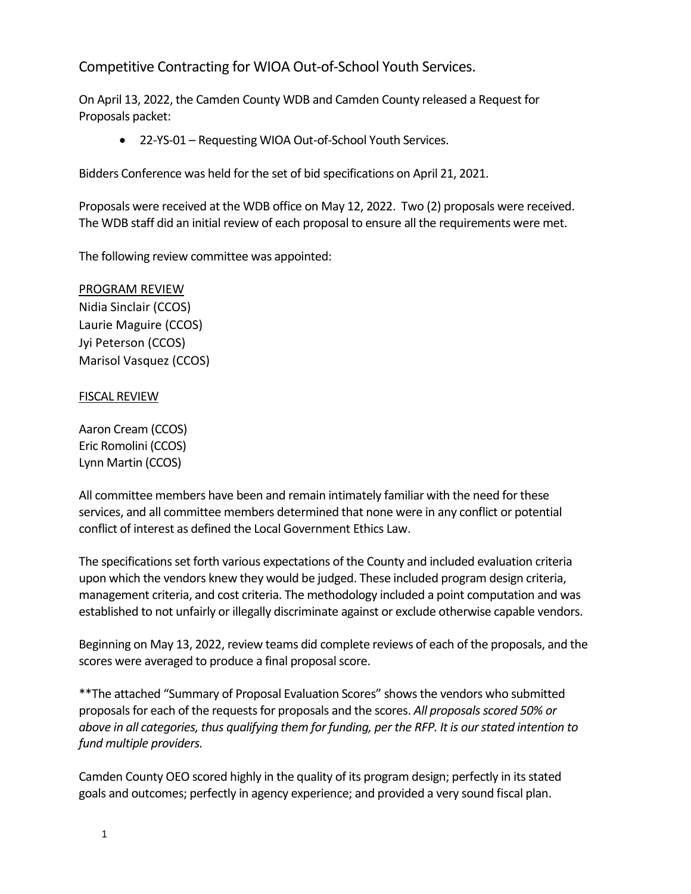Competitive Contracting for WIOA Out-of-School Youth Services.

On April 13, 2022, the Camden County WDB and Camden County released a Request for Proposals packet:

• 22-YS-01 – Requesting WIOA Out-of-School Youth Services.

Bidders Conference was held for the set of bid specifications on April 21, 2021.

Proposals were received at the WDB office on May 12, 2022. Two (2) proposals were received. The WDB staff did an initial review of each proposal to ensure all the requirements were met.

The following review committee was appointed:

## PROGRAM REVIEW

Nidia Sinclair (CCOS) Laurie Maguire (CCOS) Jyi Peterson (CCOS) Marisol Vasquez (CCOS)

## FISCAL REVIEW

Aaron Cream (CCOS) Eric Romolini (CCOS) Lynn Martin (CCOS)

All committee members have been and remain intimately familiar with the need for these services, and all committee members determined that none were in any conflict or potential conflict of interest as defined the Local Government Ethics Law.

The specifications set forth various expectations of the County and included evaluation criteria upon which the vendors knew they would be judged. These included program design criteria, management criteria, and cost criteria. The methodology included a point computation and was established to not unfairly or illegally discriminate against or exclude otherwise capable vendors.

Beginning on May 13, 2022, review teams did complete reviews of each of the proposals, and the scores were averaged to produce a final proposal score.

\*\*The attached "Summary of Proposal Evaluation Scores" shows the vendors who submitted proposals for each of the requests for proposals and the scores. *All proposals scored 50% or above in all categories, thus qualifying them for funding, per the RFP. It is our stated intention to fund multiple providers.*

Camden County OEO scored highly in the quality of its program design; perfectly in its stated goals and outcomes; perfectly in agency experience; and provided a very sound fiscal plan.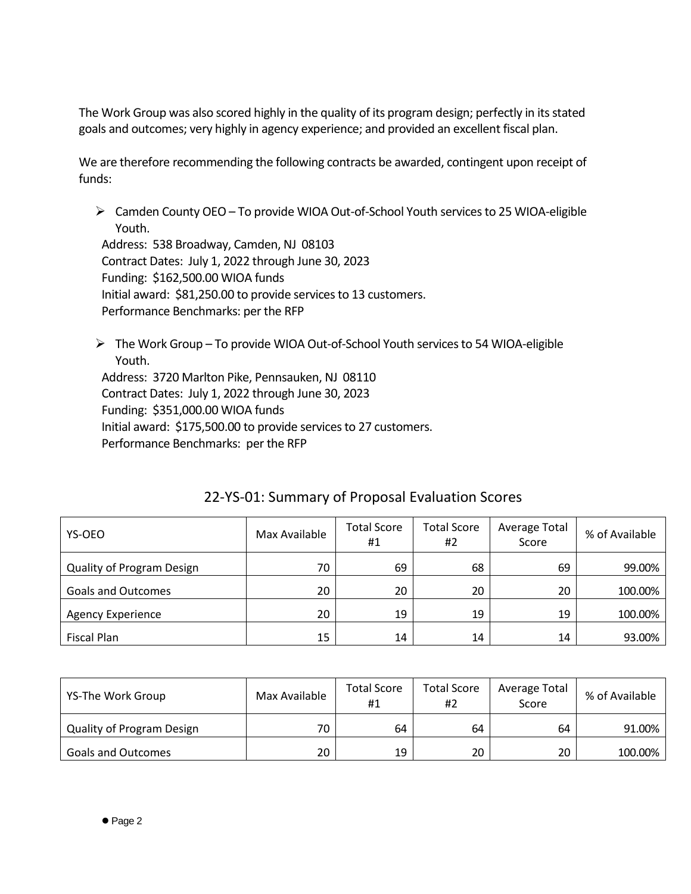The Work Group was also scored highly in the quality of its program design; perfectly in its stated goals and outcomes; very highly in agency experience; and provided an excellent fiscal plan.

We are therefore recommending the following contracts be awarded, contingent upon receipt of funds:

➢ Camden County OEO – To provide WIOA Out-of-School Youth services to 25 WIOA-eligible Youth.

Address: 538 Broadway, Camden, NJ 08103 Contract Dates: July 1, 2022 through June 30, 2023 Funding: \$162,500.00 WIOA funds Initial award: \$81,250.00 to provide services to 13 customers. Performance Benchmarks: per the RFP

➢ The Work Group – To provide WIOA Out-of-School Youth services to 54 WIOA-eligible Youth. Address: 3720 Marlton Pike, Pennsauken, NJ 08110 Contract Dates: July 1, 2022 through June 30, 2023 Funding: \$351,000.00 WIOA funds Initial award: \$175,500.00 to provide services to 27 customers. Performance Benchmarks: per the RFP

| YS-OEO                           | Max Available | <b>Total Score</b><br>#1 | <b>Total Score</b><br>#2 | Average Total<br>Score | % of Available |
|----------------------------------|---------------|--------------------------|--------------------------|------------------------|----------------|
| <b>Quality of Program Design</b> | 70            | 69                       | 68                       | 69                     | 99.00%         |
| <b>Goals and Outcomes</b>        | 20            | 20                       | 20                       | 20                     | 100.00%        |
| <b>Agency Experience</b>         | 20            | 19                       | 19                       | 19                     | 100.00%        |
| <b>Fiscal Plan</b>               | 15            | 14                       | 14                       | 14                     | 93.00%         |

## 22-YS-01: Summary of Proposal Evaluation Scores

| YS-The Work Group                | Max Available | <b>Total Score</b><br>#1 | <b>Total Score</b><br>#2 | Average Total<br>Score | % of Available |
|----------------------------------|---------------|--------------------------|--------------------------|------------------------|----------------|
| <b>Quality of Program Design</b> | 70            | 64                       | 64                       | 64                     | 91.00%         |
| <b>Goals and Outcomes</b>        | 20            | 19                       | 20                       | 20                     | 100.00%        |